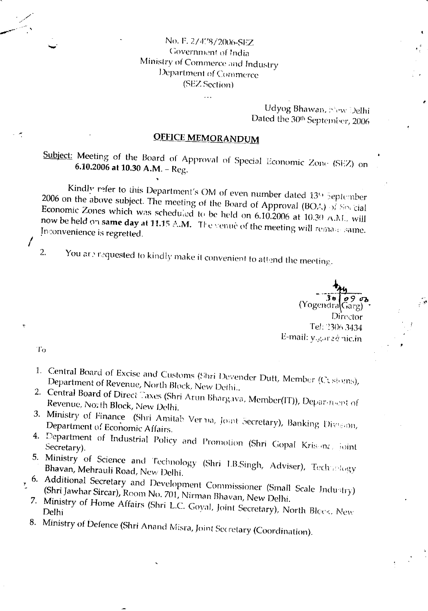## No. F. 2/4'78/2006-SEZ Government of India Ministry of Commerce and Industry Department of Commerce (SEZ Scction)

 $\ddotsc$ 

Udyog Bhawan, New Delhi Dated the 30th September, 2006

# OFFICE MEMORANDUM

Subject: Meeting of the Board of Approval of Special Economic Zone (SEZ) on **6.10.2006 at 10.30 A.M.** – Reg.

Kindly refer to this Department's OM of even number dated 13th September 2006 on the above subject. The meeting of the Board of Approval (BOA) of Special now be Economic Zones which was scheduled to be held on  $6.10.2006$  at  $10.30$  A.M. will<br>now be held on same day at 11.15 A.M. The venue of the meeting will remain anno www.bendie.organic day at 11.15 alm. The venue of the meeting will remans same.<br>Inconvenience is regretted.

2. You are requested to kindly make it convenient to attend the meeting.

 $( \text{Yogendra} \left( \frac{36}{\text{Garg}} \right)$ Director TeJ: 2306 3434 E-mail: y.garzé nic.in

To

I

- 
- 
- 1. Central Board of Excise and Customs (Shri Devender Dutt, Member (Customs),<br>
Department of Revenue, North Block, New Delhi..<br>
2. Central Board of Direct Taxes (Shri Arun Bhargava, Member(IT)), Department of<br>
Revenue, Nor
- Lepartment of Economic Affairs.<br>
4. Department of Industrial Policy and Promotion (Shri Gopal Kris, inc., joint<br>
5. Ministry of Science and Technology (Shri LRGinah, 1999).
- 5. Ministry of Science and Technology (Shri LB.Singh, Adviser), Technology (Bhavan, Mehrauli Road, New Delhi.
- 6. Additional Secretary and Development Commissioner (Small Scale Industry) -<br>7. (Shri Jawhar Sircar), Room No. 701, Nirman Bhavan, New Delhi.
	- Ministry of Home Affairs (Shri L.C. Goyal, Joint Secretary), North Blcck, New<br>Delhi
- 8. Ministry of Defence (Shri Anand Misra, Joint Secretary (Coordination).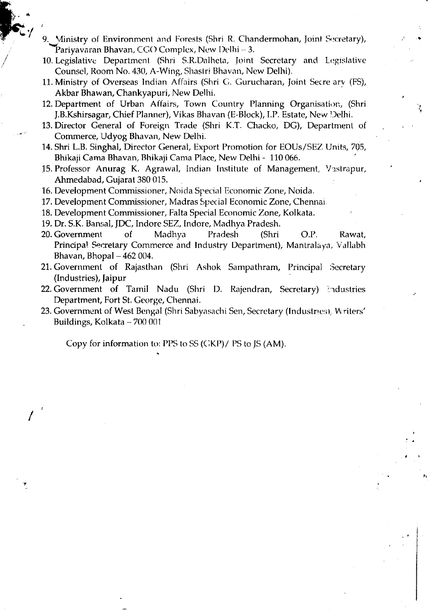9. Ministry of Environment and Forests (Shri R. Chandermohan, Joint Secretary), Pariyavaran Bhavan, CGO Complex, New Delhi  $-3$ .

10. Legislative Department (Shri S.R.Dalheta, Joint Secretary and Legislative Counsel, Room No. 430, A-Wing, Shastri Bhavan, New Delhi).

- 11. Ministry of Overseas lndian Affairs (Shri C. Gurucharan, Joint Secre arv (FS), Akbar Bhawan, Chankyapuri, New Delhi.
- 12. Department of Urban Affairs, Town Country Planning Organisation, (Shri J.B.Kshirsagar, Chief Planner), Vikas Bhavan (E-Block), LP. Estate, New l,)elhi.
- 13. Director General of Foreign Trade (Shri K.T. Chacko, DG), Department of Commerce, Udyog Bhavan, New Delhi.
- 14. Shri L.B. Singhal, Director General, Export Promotion for EOUs/SEZ lJnits, 705, Bhikaji Cama Bhavan, Bhikaji Cama Place, New Delhi - 110 <sup>066</sup>
- 15. Professor Anurag K. Agrawal, Indian Institute of Management, Vastrapur, Ahmedabad, Cujarat 380 015.
- 16. Development Commissioner, Noida Special Economic Zone, Noida.
- 17. Development Commissioner, Madras Special Economic Zone, Chennai.
- 18. Development Commissioner, Falta Special Economic Zone, Kolkata.
- 19. Dr. S.K. Bansal, JDC, Indore SEZ, Indore, Madhya Pradesh.
- 20. Government of Madhya Pradesh (Shri O.P. Rawat, Principal Secretary Commerce and Industry Department), Mantralaya, Vallabh Bhavan, Bhopal  $-462004$ .
- 21. Government of Rajasthan (Shri Ashok Sampathram, Principal Secretary (lndustries), faipur
- 22. Government of Tamil Nadu (Shri D. Rajendran, Secretary) Industries Department, Fort St. George, Chennai.
- 23. Government of West Bengal (Shri Sabyasachi Sen, Secretary (Industries), Writers' Buildings, Kolkata - 700 001

Copy for information to: PPS to SS (GKP)/ PS to JS (AM).

!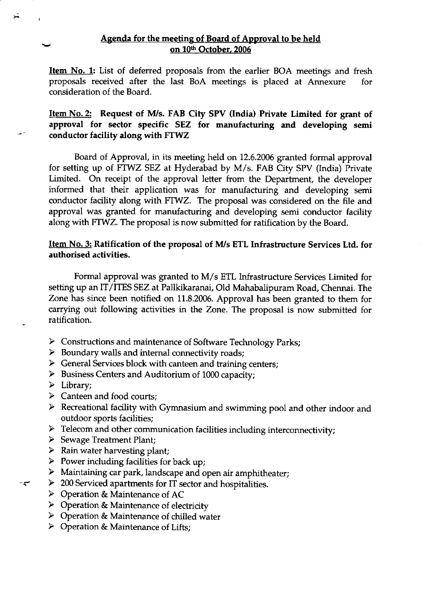**Item No. 1:** List of deferred proposals from the earlier BOA meetings and fresh proposals received after the last BoA meetings is placed at Annexure for consideration of the Board.

Item No. 2: Request of M/s. FAB City SPV (India) Private Limited for grant of approval for sector specific SEZ for manufacturing and developing semi conductor facility along with FTWZ

Board of Approval, in its meeting held on 72.6.2006 granted formal approval for setting up of FTWZ SEZ at Hyderabad by M/s. FAB Ciry SPV (India) Private Limited. On receipt of the approval letter from the Department, the developer informed that their application was for manufacturing and developing semi conductor facility along with FTWZ. The proposal was considered on the file and approval was granted for manufacturing and developing semi conductor facility along with FTWZ. The proposal is now submitted for ratification by the Board.

### Item No. 3: Ratification of the proposal of M/s ETL Infrastructure Services Ltd. for authorised activities.

Formal approval was granted to M/s ETL Infrastructure Services Limited for setting up an IT/ITES SEZ at Pallkikaranai, Old Mahabalipuram Road, Chennai. The Zone has since been notified on 11.8.2006. Approval has been granted to them for carrying out following activities in the Zone. The proposal is now submitted for ratification.

- $\triangleright$  Constructions and maintenance of Software Technology Parks;
- $\triangleright$  Boundary walls and internal connectivity roads;
- $\triangleright$  General Services block with canteen and training centers;
- $\triangleright$  Business Centers and Auditorium of 1000 capacity;
- $\triangleright$  Library;

سير-

- $\triangleright$  Canteen and food courts;
- ) Recreational facility with Gymnasium and swimming pool and other indoor and outdoor sports facilities;
- FREE FREE COMMUNICATION FACILITIES INCLUDING INTERCONNECTIVITY;<br>Sewage Treatment Plant;
- 
- $\triangleright$  Rain water harvesting plant;
- Power including facilities for back up;
- $\triangleright$  Maintaining car park, landscape and open air amphitheater;
- $\geq$  200 Serviced apartments for IT sector and hospitalities.
- ) Operation & Maintenance of AC
- $\triangleright$  Operation & Maintenance of electricity
- $\triangleright$  Operation & Maintenance of chilled water
- $\triangleright$  Operation & Maintenance of Lifts;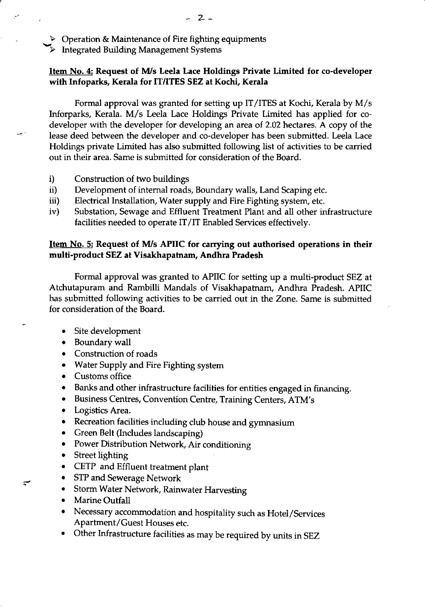$\triangleright$  Operation & Maintenance of Fire fighting equipments

Integrated Building Management Systems

### Item No. 4: Request of M/s Leela Lace Holdings Private Limited for co-developer with Infoparks, Kerala for IT/ITES SEZ at Kochi, Kerala

Formal approval was granted for setting up IT/ITES at Kochi, Kerala by M/s lnforparks, Kerala. M/s Leela Lace Holdings Private Limited has applied for codeveloper with the developer for developing an area of 2.02 hectares. A copy of the lease deed between the developer and co-developer has been submitted. Leela Lace Holdings private Limited has also submitted following list of activities to be carried out in their area. Same is submitted for consideration of the Board.

- i) Construction of two buildings
- ii) Development of intemal roads, Boundary walls, Land Scaping etc.
- iii) Electrical Installation, Water supply and Fire Fighting system, etc.
- iv) Substation, Sewage and Effluent Treatment Plant and all other infrastructure facilities needed to operate IT/IT Enabled Services effectively.

### Item No. 5: Request of M/s APIIC for carrying out authorised operations in their multi-product SEZ at Visakhapatnam, Andhra Pradesh

Formal approval was granted to APIIC for setting up a multi-product SEZ at Atchutapuram and Rambilli Mandals of Visakhapatnam, Andhra Pradesh. APIIC has submitted following activities to be carried out in the Zone. Same is submitted for consideration of the Board.

- . Site development
- Boundary wall
- Construction of roads
- Water Supply and Fire Fighting system
- Customs office
- o Banks and other infrastructure facilities for entities engaged in financing.
- o Business Centres, Convention Centre, Training Centers, ATM's
- Logistics Area.
- o Recreation facilities including dub house and gymnasium
- Green Belt (Includes landscaping)
- o Power Distribution Network, Air conditioning
- Street lighting
- . CETP and Effluent treatment plant
- o STP and Sewerage Network
- Storm Water Network, Rainwater Harvesting
- Marine Outfall

 $\mathbf{r}$ 

- o Necessary accommodation and hospitality such as Hotel/Services Apartment/Guest Houses etc.
- . Other Infrastructure facilities as may be required by units in SEZ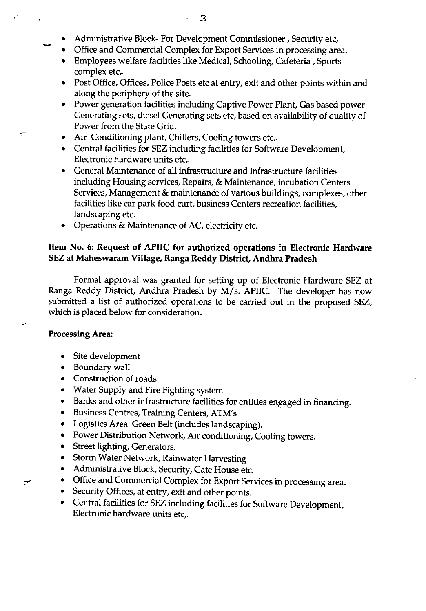- . Administrative Block- For Development Commissioner , Security etc,
- Office and Commercial Complex for Export Services in processing area.
- . Employees welfare facilities like Medical, Schooling, Cafeteria , Sports complex etc,.
- o Post Office, Offices, Police Posts etc at entry, exit and other points within and along the periphery of the site.
- . Power generation facilities induding Captive Power Plant, Gas based power Generating sets, diesel Generating sets etc, based on availability of quality of Power from the State Grid.
- Air Conditioning plant, Chillers, Cooling towers etc,.
- Central facilities for SEZ including facilities for Software Development, Electronic hardware units etc,.
- General Maintenance of all infrastructure and infrastructure facilities including Housing services, Repairs, & Maintenance, incubation Centers Services, Management & maintenance of various buildings, complexes, other facilities like car park food curt, business Centers recreation facilities, landscaping etc.
- . Operations & Maintenance of AC, electricity etc.

### Item No. 6: Request of APIIC for authorized operations in Electronic Hardware SEZ at Maheswaram Village, Ranga Reddy Diskict, Andhra Pradesh

Formal approval was granted for setting up of Electronic Hardware SEZ at Ranga Reddy District, Andhra Pradesh by M/s. APIIC. The developer has now submitted a list of authorized operations to be carried out in the proposed SEZ, which is placed below for consideration.

### Processing Area:

سي

- Site development
- . Boundary wall
- Construction of roads
- . Water Supply and Fire Fighting system
- o Banks and other infrastructure facilities for entities engaged in financing.
- o Business Centres, Training Centers, ATM's
- Logistics Area. Green Belt (includes landscaping).
- Power Distribution Network, Air conditioning, Cooling towers.
- Street lighting, Generators.
- Storm Water Network, Rainwater Harvesting
- Administrative Block, Security, Gate House etc.
- Office and Commercial Complex for Export Services in processing area.
- . Security Offices, at entry, exit and other points.
- Central facilities for SEZ including facilities for Software Development, Electronic hardware units etc,.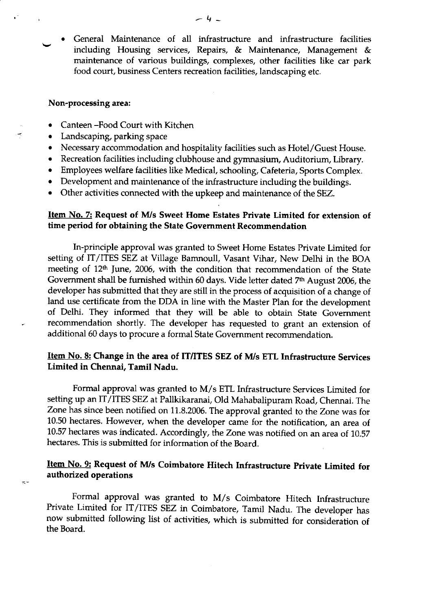General Maintenance of all infrastructure and infrastructure facilities including Housing services, Repairs,  $\&$  Maintenance, Management  $\&$ maintenance of various buildings, complexes, other facilities like car park food court, business Centers recreation facilities, landscaping etc. a

#### Non-processing area:

Ť

 $\leq$ 

- Canteen -Food Court with Kitchen
- Landscaping, parking space
- Necessary accommodation and hospitality facilities such as Hotel/Guest House.
- o Recreation facilities including clubhouse and gymnasium, Auditorium, Library.
- . Employees welfare facilities like Medical, schooling, Cafeteria, Sports Complex.
- Development and maintenance of the infrastructure including the buildings.
- Other activities connected with the upkeep and maintenance of the SEZ.

### <u>Item No. 7:</u> Request of M/s Sweet Home Estates Private Limited for extension of time period for obtaining the State Govemment Recommendation

In-principle approval was granted to Sweet Home Estates Private Limited for setting of IT/ITES SEZ at Village Bamnoull, Vasant Vihar, New Delhi in the BOA meeting of 12<sup>th</sup> June, 2006, with the condition that recommendation of the State Government shall be furnished within 60 days. Vide letter dated 7<sup>th</sup> August 2006, the developer has submitted that they are still in the process of acquisition of a change of land use certificate from the DDA in line with the Master Plan for the development of Delhi. They informed that they will be able to obtain State Government recommendation shortly. The developer has requested to grant an extension of additional 60 days to procure a formal State Government recommendation.

# Item No. 8: Change in the area of IT/ITES SEZ of M/s ETL Infrastructure Services Limited in Chennai, Tamil Nadu.

Formal approval was granted to M/s ETL Infrastructure Services Limited for setting up an IT/ITES SEZ at Pallkikaranai, Old Mahabalipuram Road, Chennai. The Zone has since been notified on 11.8.2005. The approval granted to the zone was for 10.50 hectares. However, when the developer came for the notification, an area of 10.57 hectares was indicated. Accordingly, the Zone was notified on an area of 10.57 hectares. This is submitted for information of the Board.

# Item No. 9: Request of M/s Coimbatore Hitech Infrastructure Private Limited for authorized operations

Formal approval was granted to M/s Coimbatore Hitech Infrastructure Private Limited for IT/ITES SEZ in Coimbatore, Tamil Nadu. The developer has now submitted following list of activities, which is submitted for consideration of the Board.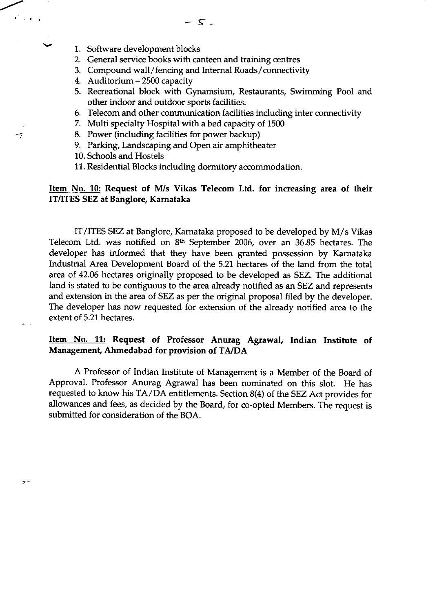1. Software development blocks

 $\widetilde{\mathbb{C}}$  is a  $\mathbb{C}_4$ 

يبد

 $\mathbb{R}^n$ 

- 2. General service books with canteen and training centres
- 3. Compound wall/fencing and Internal Roads/connectivity
- 4. Auditorium 2500 capacity
- 5. Recreational block with Gynamsium, Restaurants, Swimming Pool and other indoor and outdoor sports facilities.
- 6. Telecom and other communication facilities including inter connectivity
- 7. Multi specialty Hospital with a bed capacity of 1500
- 8. Power (including facilities for power backup)
- 9. Parking, Landscaping and Open air amphitheater
- 10. Schools and Hostels
- 11. Residential Blocks including dormitory accommodation.

### Item No. 10: Request of M/s Vikas Telecom Ltd. for increasing area of their IT/ITES SEZ at Banglore, Kamataka

IT/ITES SEZ at Banglore, Karnataka proposed to be developed by M/s Vikas Telecom Ltd. was notified on 8<sup>th</sup> September 2006, over an 36.85 hectares. The developer has informed that they have been granted possession by Karnataka Industrial Area Development Board of the 5.21 hectares of the land from the total area of 42.06 hectares originally proposed to be developed as SEZ. The additional land is stated to be contiguous to the area already notified as an SEZ and represents and extension in the area of SEZ as per the original proposal filed by the developer. The developer has now requested for extension of the already notified area to the extent of 5.21 hectares.

### Item No. 11: Request of Professor Anurag Agrawal, Indian Institute of Management, Ahmedabad for provision of TA/DA

A Professor of Indian Institute of Management is a Member of the Board of Approval. Professor Anurag Agrawal has been nominated on this slot. He has requested to know his  $TA/\overline{DA}$  entitlements. Section 8(4) of the SEZ Act provides for allowances and fees, as decided by the Board, for co-opted Members. The request is submitted for consideration of the BOA.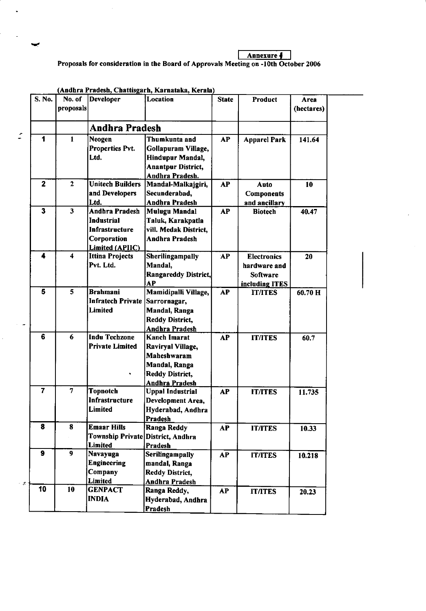Annexure I Proposals for consideration in the Board of Approvals Meeting on -10th October 2006

| S. No.                  | No. of<br>proposals     | Developer                                                                                                    | <b>Location</b>                                                                                                      | <b>State</b> | Product                                                          | Area<br>(hectares) |
|-------------------------|-------------------------|--------------------------------------------------------------------------------------------------------------|----------------------------------------------------------------------------------------------------------------------|--------------|------------------------------------------------------------------|--------------------|
|                         |                         | <b>Andhra Pradesh</b>                                                                                        |                                                                                                                      |              |                                                                  |                    |
| 1                       | $\blacksquare$          | Neogen<br>Properties Pvt.<br>Ltd.                                                                            | Thumkunta and<br>Gollapuram Village,<br>Hindupur Mandal,<br><b>Anantpur District,</b><br>Andhra Pradesh.             | <b>AP</b>    | <b>Apparel Park</b>                                              | 141.64             |
| $\overline{\mathbf{2}}$ | $\overline{2}$          | <b>Unitech Builders</b><br>and Developers<br>Ltd.                                                            | Mandal-Malkajgiri,<br>Secunderabad,<br><b>Andhra Pradesh</b>                                                         | <b>AP</b>    | Auto<br><b>Components</b><br>and ancillary                       | 10                 |
| 3                       | $\overline{\mathbf{3}}$ | <b>Andhra Pradesh</b><br><b>Industrial</b><br><b>Infrastructure</b><br>Corporation<br><b>Limited (APIIC)</b> | <b>Mulugu Mandal</b><br>Taluk, Karakpatla<br>vill. Medak District,<br><b>Andhra Pradesh</b>                          | <b>AP</b>    | <b>Biotech</b>                                                   | 40.47              |
| 4                       | $\boldsymbol{4}$        | <b>Ittina Projects</b><br>Pvt. Ltd.                                                                          | Sherilingampally<br>Mandal,<br>Rangareddy District,<br>AP                                                            | AP           | <b>Electronics</b><br>hardware and<br>Software<br>including ITES | 20                 |
| 5                       | 5                       | <b>Brahmani</b><br>Infratech Private<br>Limited                                                              | Mamidipalli Village,<br>Sarrornagar,<br>Mandal, Ranga<br><b>Reddy District,</b><br><b>Andhra Pradesh</b>             | <b>AP</b>    | <b>IT/ITES</b>                                                   | 60.70 H            |
| 6                       | 6                       | <b>Indu Techzone</b><br><b>Private Limited</b>                                                               | <b>Kanch Imarat</b><br>Raviryal Village,<br>Maheshwaram<br>Mandal, Ranga<br><b>Reddy District,</b><br>Andhra Pradesh | <b>AP</b>    | <b>IT/ITES</b>                                                   | 60.7               |
| $\overline{7}$          | $\overline{7}$          | <b>Topnotch</b><br>Infrastructure<br>Limited                                                                 | <b>Uppal Industrial</b><br>Development Area,<br>Hyderabad, Andhra<br>Pradesh                                         | <b>AP</b>    | <b>IT/ITES</b>                                                   | 11.735             |
| 8                       | 8                       | <b>Emaar Hills</b><br>Township Private District, Andhra<br><b>Limited</b>                                    | Ranga Reddy<br>Pradesh                                                                                               | AP           | <b>IT/ITES</b>                                                   | 10.33              |
| 9                       | 9                       | <b>Navayuga</b><br><b>Engineering</b><br>Company<br><b>Limited</b>                                           | Serilingampally<br>mandal, Ranga<br>Reddy District,<br>Andhra Pradesh                                                | <b>AP</b>    | <b>IT/ITES</b>                                                   | 10.218             |
| 10                      | 10                      | <b>GENPACT</b><br><b>INDIA</b>                                                                               | Ranga Reddy,<br>Hyderabad, Andhra<br>Pradesh                                                                         | <b>AP</b>    | <b>IT/ITES</b>                                                   | 20.23              |

(Andhra Pradesh, Chattisgarh, Karnataka, Kerala)

 $\mathbf{r}$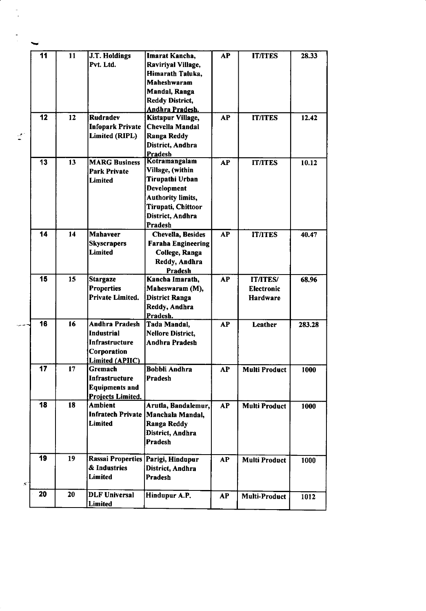|    | 11 | 11 | J.T. Holdings           | Imarat Kancha,                         | <b>AP</b> | <b>IT/ITES</b>       | 28.33  |
|----|----|----|-------------------------|----------------------------------------|-----------|----------------------|--------|
|    |    |    | Pvt. Ltd.               | Raviriyal Village,                     |           |                      |        |
|    |    |    |                         | Himarath Taluka,                       |           |                      |        |
|    |    |    |                         | Maheshwaram                            |           |                      |        |
|    |    |    |                         | <b>Mandal, Ranga</b>                   |           |                      |        |
|    |    |    |                         | <b>Reddy District,</b>                 |           |                      |        |
|    |    |    |                         | Andhra Pradesh.                        |           |                      |        |
|    | 12 | 12 | <b>Rudradev</b>         | Kistapur Village,                      | <b>AP</b> | <b>IT/ITES</b>       | 12.42  |
|    |    |    | <b>Infopark Private</b> | Chevella Mandal                        |           |                      |        |
| ŗ. |    |    | Limited (RIPL)          |                                        |           |                      |        |
|    |    |    |                         | <b>Ranga Reddy</b><br>District, Andhra |           |                      |        |
|    |    |    |                         | <b>Pradesh</b>                         |           |                      |        |
|    | 13 | 13 | <b>MARG Business</b>    | Kotramangalam                          | <b>AP</b> | <b>IT/ITES</b>       | 10.12  |
|    |    |    |                         | Village, (within                       |           |                      |        |
|    |    |    | <b>Park Private</b>     | Tirupathi Urban                        |           |                      |        |
|    |    |    | <b>Limited</b>          | Development                            |           |                      |        |
|    |    |    |                         |                                        |           |                      |        |
|    |    |    |                         | <b>Authority limits,</b>               |           |                      |        |
|    |    |    |                         | Tirupati, Chittoor                     |           |                      |        |
|    |    |    |                         | District, Andhra                       |           |                      |        |
|    |    |    |                         | Pradesh                                |           |                      |        |
|    | 14 | 14 | <b>Mahaveer</b>         | <b>Chevella, Besides</b>               | <b>AP</b> | <b>IT/ITES</b>       | 40.47  |
|    |    |    | <b>Skyscrapers</b>      | <b>Faraha Engineering</b>              |           |                      |        |
|    |    |    | <b>Limited</b>          | College, Ranga                         |           |                      |        |
|    |    |    |                         | Reddy, Andhra                          |           |                      |        |
|    |    |    |                         | <b>Pradesh</b>                         |           |                      |        |
|    | 15 | 15 | <b>Stargaze</b>         | Kancha Imarath,                        | <b>AP</b> | <b>IT/ITES/</b>      | 68.96  |
|    |    |    | <b>Properties</b>       | Maheswaram (M),                        |           | <b>Electronic</b>    |        |
|    |    |    | Private Limited.        | <b>District Ranga</b>                  |           | <b>Hardware</b>      |        |
|    |    |    |                         | Reddy, Andhra                          |           |                      |        |
|    |    |    |                         | Pradesh.                               |           |                      |        |
|    | 16 | 16 | <b>Andhra Pradesh</b>   | Tada Mandal,                           | <b>AP</b> | Leather              | 283.28 |
|    |    |    | <b>Industrial</b>       | <b>Nellore District,</b>               |           |                      |        |
|    |    |    | Infrastructure          | <b>Andhra Pradesh</b>                  |           |                      |        |
|    |    |    | Corporation             |                                        |           |                      |        |
|    |    |    | Limited (APIIC)         |                                        |           |                      |        |
|    | 17 | 17 | Gremach                 | <b>Bobbli Andhra</b>                   | AP        | <b>Multi Product</b> | 1000   |
|    |    |    | Infrastructure          | Pradesh                                |           |                      |        |
|    |    |    | <b>Equipments and</b>   |                                        |           |                      |        |
|    |    |    | Projects Limited.       |                                        |           |                      |        |
|    | 18 | 18 | Ambient                 | Arutla, Bandalemur,                    | <b>AP</b> | <b>Multi Product</b> | 1000   |
|    |    |    |                         | Infratech Private   Manchala Mandal,   |           |                      |        |
|    |    |    | <b>Limited</b>          | Ranga Reddy                            |           |                      |        |
|    |    |    |                         | District, Andhra                       |           |                      |        |
|    |    |    |                         | <b>Pradesh</b>                         |           |                      |        |
|    |    |    |                         |                                        |           |                      |        |
|    | 19 | 19 |                         | Rassai Properties Parigi, Hindupur     | <b>AP</b> | <b>Multi Product</b> | 1000   |
|    |    |    | & Industries            | District, Andhra                       |           |                      |        |
|    |    |    | <b>Limited</b>          | Pradesh                                |           |                      |        |
| ≲ె |    |    |                         |                                        |           |                      |        |
|    | 20 | 20 | <b>DLF Universal</b>    | Hindupur A.P.                          | <b>AP</b> | <b>Multi-Product</b> | 1012   |
|    |    |    | <b>Limited</b>          |                                        |           |                      |        |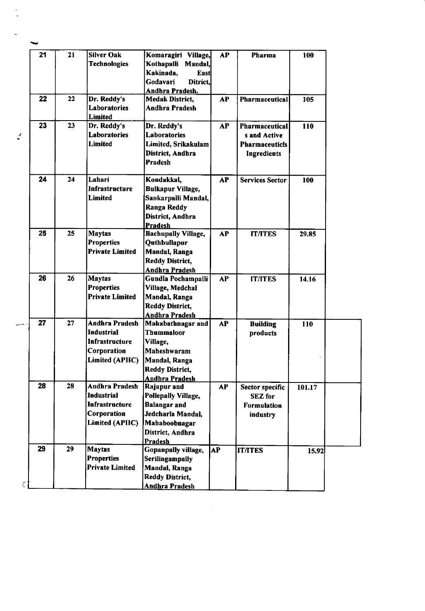| 21<br><b>Silver Oak</b><br>21<br>Komaragiri Village,<br><b>AP</b><br>Pharma<br>100<br><b>Technologies</b><br>Kothapalli Mandal,<br>Kakinada,<br><b>East</b><br>Godavari<br>Ditrict,<br>Andhra Pradesh.<br>$\overline{22}$<br>22<br>Dr. Reddy's<br>AP<br><b>Medak District,</b><br>Pharmaceutical<br>105<br>Laboratories<br>Andhra Pradesh<br>Limited<br>23<br>23<br>Dr. Reddy's<br>Dr. Reddy's<br><b>AP</b><br>110<br><b>Pharmaceutical</b><br><b>Laboratories</b><br>Laboratories<br>s and Active<br><b>Limited</b><br>Limited, Srikakulam<br><b>Pharmaceuticls</b><br>District, Andhra<br><b>Ingredients</b><br><b>Pradesh</b><br>24<br>24<br>Lahari<br>Kondakkal,<br>AP<br><b>Services Sector</b><br>100<br>Infrastructure<br><b>Bulkapur Village,</b><br>Limited<br>Sankarpalli Mandal,<br><b>Ranga Reddy</b> |
|-------------------------------------------------------------------------------------------------------------------------------------------------------------------------------------------------------------------------------------------------------------------------------------------------------------------------------------------------------------------------------------------------------------------------------------------------------------------------------------------------------------------------------------------------------------------------------------------------------------------------------------------------------------------------------------------------------------------------------------------------------------------------------------------------------------------|
|                                                                                                                                                                                                                                                                                                                                                                                                                                                                                                                                                                                                                                                                                                                                                                                                                   |
|                                                                                                                                                                                                                                                                                                                                                                                                                                                                                                                                                                                                                                                                                                                                                                                                                   |
|                                                                                                                                                                                                                                                                                                                                                                                                                                                                                                                                                                                                                                                                                                                                                                                                                   |
|                                                                                                                                                                                                                                                                                                                                                                                                                                                                                                                                                                                                                                                                                                                                                                                                                   |
|                                                                                                                                                                                                                                                                                                                                                                                                                                                                                                                                                                                                                                                                                                                                                                                                                   |
|                                                                                                                                                                                                                                                                                                                                                                                                                                                                                                                                                                                                                                                                                                                                                                                                                   |
|                                                                                                                                                                                                                                                                                                                                                                                                                                                                                                                                                                                                                                                                                                                                                                                                                   |
|                                                                                                                                                                                                                                                                                                                                                                                                                                                                                                                                                                                                                                                                                                                                                                                                                   |
|                                                                                                                                                                                                                                                                                                                                                                                                                                                                                                                                                                                                                                                                                                                                                                                                                   |
|                                                                                                                                                                                                                                                                                                                                                                                                                                                                                                                                                                                                                                                                                                                                                                                                                   |
|                                                                                                                                                                                                                                                                                                                                                                                                                                                                                                                                                                                                                                                                                                                                                                                                                   |
|                                                                                                                                                                                                                                                                                                                                                                                                                                                                                                                                                                                                                                                                                                                                                                                                                   |
|                                                                                                                                                                                                                                                                                                                                                                                                                                                                                                                                                                                                                                                                                                                                                                                                                   |
|                                                                                                                                                                                                                                                                                                                                                                                                                                                                                                                                                                                                                                                                                                                                                                                                                   |
|                                                                                                                                                                                                                                                                                                                                                                                                                                                                                                                                                                                                                                                                                                                                                                                                                   |
|                                                                                                                                                                                                                                                                                                                                                                                                                                                                                                                                                                                                                                                                                                                                                                                                                   |
|                                                                                                                                                                                                                                                                                                                                                                                                                                                                                                                                                                                                                                                                                                                                                                                                                   |
| District, Andhra                                                                                                                                                                                                                                                                                                                                                                                                                                                                                                                                                                                                                                                                                                                                                                                                  |
| <b>Pradesh</b>                                                                                                                                                                                                                                                                                                                                                                                                                                                                                                                                                                                                                                                                                                                                                                                                    |
| 25<br>25<br><b>Maytas</b><br><b>Bachupally Village,</b><br>AP<br><b>IT/ITES</b><br>29.85                                                                                                                                                                                                                                                                                                                                                                                                                                                                                                                                                                                                                                                                                                                          |
| <b>Properties</b><br>Quthbullapur                                                                                                                                                                                                                                                                                                                                                                                                                                                                                                                                                                                                                                                                                                                                                                                 |
| <b>Private Limited</b><br><b>Mandal, Ranga</b>                                                                                                                                                                                                                                                                                                                                                                                                                                                                                                                                                                                                                                                                                                                                                                    |
| <b>Reddy District,</b>                                                                                                                                                                                                                                                                                                                                                                                                                                                                                                                                                                                                                                                                                                                                                                                            |
| Andhra Pradesh                                                                                                                                                                                                                                                                                                                                                                                                                                                                                                                                                                                                                                                                                                                                                                                                    |
| 26<br>26<br><b>Maytas</b><br>Gundla Pochampalli<br><b>AP</b><br><b>IT/ITES</b><br>14.16                                                                                                                                                                                                                                                                                                                                                                                                                                                                                                                                                                                                                                                                                                                           |
| <b>Properties</b><br>Village, Medchal                                                                                                                                                                                                                                                                                                                                                                                                                                                                                                                                                                                                                                                                                                                                                                             |
| <b>Private Limited</b><br>Mandal, Ranga                                                                                                                                                                                                                                                                                                                                                                                                                                                                                                                                                                                                                                                                                                                                                                           |
| <b>Reddy District,</b>                                                                                                                                                                                                                                                                                                                                                                                                                                                                                                                                                                                                                                                                                                                                                                                            |
| <b>Andhra Pradesh</b>                                                                                                                                                                                                                                                                                                                                                                                                                                                                                                                                                                                                                                                                                                                                                                                             |
| 27<br>27<br><b>Andhra Pradesh</b><br>Mahabathnagar and<br><b>AP</b><br><b>Building</b><br>110                                                                                                                                                                                                                                                                                                                                                                                                                                                                                                                                                                                                                                                                                                                     |
| <b>Industrial</b><br><b>Thummaloor</b><br>products                                                                                                                                                                                                                                                                                                                                                                                                                                                                                                                                                                                                                                                                                                                                                                |
| Infrastructure<br>Village,                                                                                                                                                                                                                                                                                                                                                                                                                                                                                                                                                                                                                                                                                                                                                                                        |
| Corporation<br>Maheshwaram                                                                                                                                                                                                                                                                                                                                                                                                                                                                                                                                                                                                                                                                                                                                                                                        |
| Limited (APIIC)<br>Mandal, Ranga                                                                                                                                                                                                                                                                                                                                                                                                                                                                                                                                                                                                                                                                                                                                                                                  |
| <b>Reddy District,</b>                                                                                                                                                                                                                                                                                                                                                                                                                                                                                                                                                                                                                                                                                                                                                                                            |
| <b>Andhra Pradesh</b>                                                                                                                                                                                                                                                                                                                                                                                                                                                                                                                                                                                                                                                                                                                                                                                             |
| 28<br>28<br>Andhra Pradesh<br>Rajapur and<br>AP<br>101.17<br><b>Sector specific</b>                                                                                                                                                                                                                                                                                                                                                                                                                                                                                                                                                                                                                                                                                                                               |
| <b>Industrial</b><br>Pollepally Village,<br><b>SEZ</b> for                                                                                                                                                                                                                                                                                                                                                                                                                                                                                                                                                                                                                                                                                                                                                        |
| Infrastructure<br><b>Balangar</b> and<br><b>Formulation</b>                                                                                                                                                                                                                                                                                                                                                                                                                                                                                                                                                                                                                                                                                                                                                       |
| Corporation<br>Jedcharla Mandal,<br>industry                                                                                                                                                                                                                                                                                                                                                                                                                                                                                                                                                                                                                                                                                                                                                                      |
| Limited (APIIC)<br>Mahaboobnagar                                                                                                                                                                                                                                                                                                                                                                                                                                                                                                                                                                                                                                                                                                                                                                                  |
| District, Andhra                                                                                                                                                                                                                                                                                                                                                                                                                                                                                                                                                                                                                                                                                                                                                                                                  |
| <b>Pradesh</b>                                                                                                                                                                                                                                                                                                                                                                                                                                                                                                                                                                                                                                                                                                                                                                                                    |
| 29<br>29<br><b>Maytas</b><br>Gopanpally village,<br><b>AP</b><br><b>IT/ITES</b><br>15.92                                                                                                                                                                                                                                                                                                                                                                                                                                                                                                                                                                                                                                                                                                                          |
| <b>Properties</b><br>Serilingampally                                                                                                                                                                                                                                                                                                                                                                                                                                                                                                                                                                                                                                                                                                                                                                              |
| <b>Private Limited</b><br>Mandal, Ranga                                                                                                                                                                                                                                                                                                                                                                                                                                                                                                                                                                                                                                                                                                                                                                           |
| <b>Reddy District,</b>                                                                                                                                                                                                                                                                                                                                                                                                                                                                                                                                                                                                                                                                                                                                                                                            |
| <b>Andhra Pradesh</b>                                                                                                                                                                                                                                                                                                                                                                                                                                                                                                                                                                                                                                                                                                                                                                                             |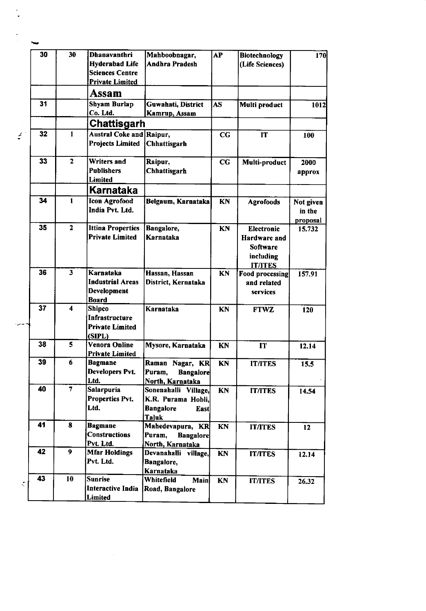|               | 30 | 30             | <b>Dhanavanthri</b>                      | Mahboobnagar,                           | AP        | Biotechnology                     | 170       |
|---------------|----|----------------|------------------------------------------|-----------------------------------------|-----------|-----------------------------------|-----------|
|               |    |                | <b>Hyderabad Life</b>                    | Andhra Pradesh                          |           | (Life Sciences)                   |           |
|               |    |                | <b>Sciences Centre</b>                   |                                         |           |                                   |           |
|               |    |                | <b>Private Limited</b>                   |                                         |           |                                   |           |
|               |    |                | Assam                                    |                                         |           |                                   |           |
|               | 31 |                | <b>Shyam Burlap</b>                      | Guwahati, District                      | AS.       | Multi product                     | 1012      |
|               |    |                | Co. Ltd.                                 | Kamrup, Assam                           |           |                                   |           |
|               |    |                | Chattisgarh                              |                                         |           |                                   |           |
| $\frac{1}{2}$ | 32 | $\mathbf{1}$   | <b>Austral Coke and Raipur,</b>          |                                         | CC        | IT                                | 100       |
|               |    |                | <b>Projects Limited</b>                  | Chhattisgarh                            |           |                                   |           |
|               |    |                |                                          |                                         |           |                                   |           |
|               | 33 | $\overline{2}$ | <b>Writers and</b>                       | Raipur,                                 | cc        | Multi-product                     | 2000      |
|               |    |                | <b>Publishers</b>                        | Chhattisgarh                            |           |                                   | approx    |
|               |    |                | Limited                                  |                                         |           |                                   |           |
|               |    |                | Karnataka                                |                                         |           |                                   |           |
|               | 34 | $\mathbf{1}$   | <b>Icon Agrofood</b>                     | Belgaum, Karnataka                      | KN        | <b>Agrofoods</b>                  | Not given |
|               |    |                | India Pvt. Ltd.                          |                                         |           |                                   | in the    |
|               |    |                |                                          |                                         |           |                                   | proposal  |
|               | 35 | $\overline{2}$ | <b>Ittina Properties</b>                 | Bangalore,                              | KN        | <b>Electronic</b>                 | 15.732    |
|               |    |                | <b>Private Limited</b>                   | Karnataka                               |           | <b>Hardware</b> and               |           |
|               |    |                |                                          |                                         |           | <b>Software</b>                   |           |
|               |    |                |                                          |                                         |           | including                         |           |
|               | 36 | 3              | Karnataka                                | Hassan, Hassan                          | KN        | <b>IT/ITES</b><br>Food processing | 157.91    |
|               |    |                | <b>Industrial Areas</b>                  | District, Kernataka                     |           | and related                       |           |
|               |    |                | Development                              |                                         |           | services                          |           |
|               |    |                | <b>Board</b>                             |                                         |           |                                   |           |
|               | 37 | 4              | Shipco                                   | Karnataka                               | <b>KN</b> | <b>FTWZ</b>                       | 120       |
|               |    |                | Infrastructure                           |                                         |           |                                   |           |
|               |    |                | <b>Private Limited</b>                   |                                         |           |                                   |           |
|               |    |                | (SIPL)                                   |                                         |           |                                   |           |
|               | 38 | 5              | <b>Venora Online</b>                     | Mysore, Karnataka                       | KN        | IT                                | 12.14     |
|               | 39 | 6              | <b>Private Limited</b>                   |                                         |           |                                   |           |
|               |    |                | <b>Bagmane</b><br><b>Developers Pvt.</b> | Raman Nagar, KR                         | KN        | <b>IT/ITES</b>                    | 15.5      |
|               |    |                | Ltd.                                     | Puram,<br>Bangalore<br>North, Karnataka |           |                                   |           |
|               | 40 | $\overline{7}$ | <b>Salarpuria</b>                        | Sonenahalli Village,                    | KN        | <b>IT/ITES</b>                    | 14.54     |
|               |    |                | Properties Pvt.                          | K.R. Purama Hobli,                      |           |                                   |           |
|               |    |                | Ltd.                                     | <b>Bangalore</b><br><b>East</b>         |           |                                   |           |
|               |    |                |                                          | <b>Taluk</b>                            |           |                                   |           |
|               | 41 | 8              | <b>Bagmane</b>                           | Mahedevapura, KR                        | KN        | <b>IT/ITES</b>                    | 12        |
|               |    |                | <b>Constructions</b>                     | Puram,<br><b>Bangalore</b>              |           |                                   |           |
|               |    |                | Pvt. Ltd.                                | North, Karnataka                        |           |                                   |           |
|               | 42 | 9              | <b>Mfar Holdings</b>                     | Devanahalli village,                    | KN        | <b>IT/ITES</b>                    | 12.14     |
|               |    |                | Pvt. Ltd.                                | Bangalore,                              |           |                                   |           |
|               |    |                |                                          | Karnataka                               |           |                                   |           |
| $\zeta$       | 43 | 10             | Sunrise                                  | Whitefield<br><b>Main</b>               | KN        | <b>IT/ITES</b>                    | 26.32     |
|               |    |                | <b>Interactive India</b>                 | Road, Bangalore                         |           |                                   |           |
|               |    |                | Limited                                  |                                         |           |                                   |           |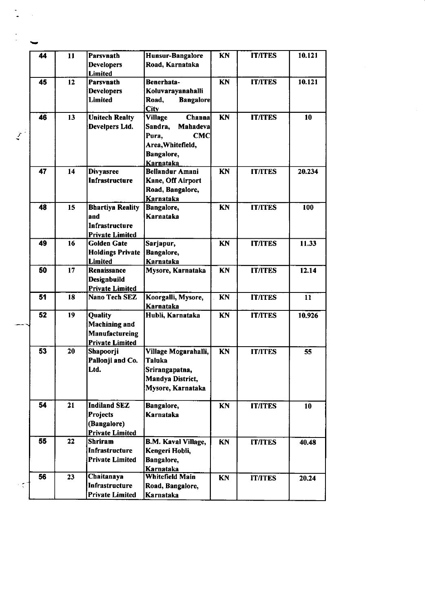|   | 44 | 11 | Parsvnath                               | Hunsur-Bangalore                      | KN        | <b>IT/ITES</b> | 10.121 |
|---|----|----|-----------------------------------------|---------------------------------------|-----------|----------------|--------|
|   |    |    | <b>Developers</b>                       | Road, Karnataka                       |           |                |        |
|   |    |    | <b>Limited</b>                          |                                       |           |                |        |
|   | 45 | 12 | Parsvnath                               | Benerhata-                            | KN        | <b>IT/ITES</b> | 10.121 |
|   |    |    | <b>Developers</b>                       | Koluvarayanahalli                     |           |                |        |
|   |    |    | Limited                                 | Road,<br><b>Bangalore</b>             |           |                |        |
|   | 46 | 13 |                                         | <b>City</b><br><b>Channa</b>          | KN        | <b>IT/ITES</b> | 10     |
|   |    |    | <b>Unitech Realty</b><br>Develpers Ltd. | <b>Village</b><br>Sandra,<br>Mahadeva |           |                |        |
| Ź |    |    |                                         | Pura,<br><b>CMC</b>                   |           |                |        |
|   |    |    |                                         | Area, Whitefield,                     |           |                |        |
|   |    |    |                                         | Bangalore,                            |           |                |        |
|   |    |    |                                         | Karnataka                             |           |                |        |
|   | 47 | 14 | <b>Divyasree</b>                        | <b>Bellandur Amani</b>                | <b>KN</b> | <b>IT/ITES</b> | 20.234 |
|   |    |    | Infrastructure                          | Kane, Off Airport                     |           |                |        |
|   |    |    |                                         | Road, Bangalore,                      |           |                |        |
|   |    |    |                                         | Karnataka                             |           |                |        |
|   | 48 | 15 | <b>Bhartiya Reality</b>                 | <b>Bangalore</b> ,                    | KN        | <b>IT/ITES</b> | 100    |
|   |    |    | and                                     | Karnataka                             |           |                |        |
|   |    |    | <b>Infrastructure</b>                   |                                       |           |                |        |
|   |    |    | <b>Private Limited</b>                  |                                       |           |                |        |
|   | 49 | 16 | <b>Golden Gate</b>                      | Sarjapur,                             | <b>KN</b> | <b>IT/ITES</b> | 11.33  |
|   |    |    | <b>Holdings Private</b>                 | Bangalore,                            |           |                |        |
|   |    |    | <b>Limited</b>                          | Karnataka                             |           |                |        |
|   | 50 | 17 | Renaissance                             | Mysore, Karnataka                     | <b>KN</b> | <b>IT/ITES</b> | 12.14  |
|   |    |    | Designbuild                             |                                       |           |                |        |
|   |    |    | <b>Private Limited</b>                  |                                       |           |                |        |
|   | 51 | 18 | Nano Tech SEZ                           | Koorgalli, Mysore,                    | KN        | <b>IT/ITES</b> | 11     |
|   |    |    |                                         | Karnataka                             |           |                |        |
|   | 52 | 19 | <b>Quality</b>                          | Hubli, Karnataka                      | <b>KN</b> | <b>IT/ITES</b> | 10.926 |
|   |    |    | <b>Machining and</b><br>Manufactureing  |                                       |           |                |        |
|   |    |    | <b>Private Limited</b>                  |                                       |           |                |        |
|   | 53 | 20 | Shapoorji                               | Village Mogarahalli,                  | <b>KN</b> | <b>IT/ITES</b> | 55     |
|   |    |    | Pallonji and Co.                        | Taluka                                |           |                |        |
|   |    |    | Ltd.                                    | Srirangapatna.                        |           |                |        |
|   |    |    |                                         | Mandya District,                      |           |                |        |
|   |    |    |                                         | Mysore, Karnataka                     |           |                |        |
|   |    |    |                                         |                                       |           |                |        |
|   | 54 | 21 | <b>Indiland SEZ</b>                     | Bangalore,                            | KN        | <b>IT/ITES</b> | 10     |
|   |    |    | <b>Projects</b>                         | Karnataka                             |           |                |        |
|   |    |    | (Bangalore)                             |                                       |           |                |        |
|   |    |    | <b>Private Limited</b>                  |                                       |           |                |        |
|   | 55 | 22 | <b>Shriram</b>                          | <b>B.M. Kaval Village,</b>            | <b>KN</b> | <b>IT/ITES</b> | 40.48  |
|   |    |    | Infrastructure                          | Kengeri Hobli,                        |           |                |        |
|   |    |    | <b>Private Limited</b>                  | Bangalore,                            |           |                |        |
|   |    |    |                                         | Karnataka                             |           |                |        |
|   | 56 | 23 | Chaitanaya                              | <b>Whitefield Main</b>                | KN        | <b>IT/ITES</b> | 20.24  |
|   |    |    | Infrastructure                          | Road, Bangalore,                      |           |                |        |
|   |    |    | <b>Private Limited</b>                  | Karnataka                             |           |                |        |

 $\hat{\zeta}$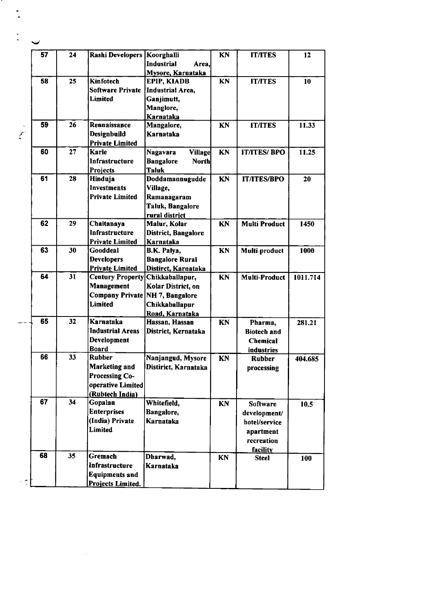|    | 57 | 24 | Rashi Developers   Koorghalli   |                                  | <b>KN</b> | <b>ITATES</b>        | 12       |
|----|----|----|---------------------------------|----------------------------------|-----------|----------------------|----------|
|    |    |    |                                 | Industrial<br>Area,              |           |                      |          |
|    |    |    |                                 | Mysore, Karnataka                |           |                      |          |
|    | 58 | 25 | Kinfotech                       | <b>EPIP, KIADB</b>               | KN        | <b>IT/ITES</b>       | 10       |
|    |    |    | <b>Software Private</b>         | Industrial Area,                 |           |                      |          |
|    |    |    |                                 |                                  |           |                      |          |
|    |    |    | Limited                         | Ganjimutt,                       |           |                      |          |
|    |    |    |                                 | Manglore,                        |           |                      |          |
|    |    |    |                                 | <b>Karnataka</b>                 |           |                      |          |
|    | 59 | 26 | Rennaissance                    | Mangalore,                       | KN        | <b>IT/ITES</b>       | 11.33    |
| Ì. |    |    | Designbuild                     | Karnataka                        |           |                      |          |
|    |    |    | <b>Private Limited</b>          |                                  |           |                      |          |
|    | 60 | 27 | <b>Karle</b>                    | Nagavara<br><b>Village</b>       | KN        | <b>IT/ITES/ BPO</b>  | 11.25    |
|    |    |    | Infrastructure                  | <b>Bangalore</b><br><b>North</b> |           |                      |          |
|    |    |    | Projects                        | <b>Taluk</b>                     |           |                      |          |
|    | 61 | 28 | Hinduja                         | Doddamannugudde                  | KN        | <b>IT/ITES/BPO</b>   | 20       |
|    |    |    | <b>Investments</b>              | Village,                         |           |                      |          |
|    |    |    | <b>Private Limited</b>          | Ramanagaram                      |           |                      |          |
|    |    |    |                                 | Taluk, Bangalore                 |           |                      |          |
|    |    |    |                                 | rural district                   |           |                      |          |
|    | 62 | 29 | Chaitanaya                      | Malur, Kolar                     | KN        | <b>Multi Product</b> | 1450     |
|    |    |    | Infrastructure                  | District, Bangalore              |           |                      |          |
|    |    |    | <b>Private Limited</b>          | Karnataka                        |           |                      |          |
|    | 63 | 30 | <b>Gooddeal</b>                 | B.K. Palya,                      | KN        | <b>Multi product</b> | 1000     |
|    |    |    | <b>Developers</b>               | <b>Bangalore Rural</b>           |           |                      |          |
|    |    |    | <b>Private Limited</b>          | Distirct, Karnataka              |           |                      |          |
|    | 64 | 31 | <b>Century Property</b>         | Chikkaballapur,                  | KN        | <b>Multi-Product</b> | 1011.714 |
|    |    |    | Management                      | Kolar District, on               |           |                      |          |
|    |    |    | Company Private NH 7, Bangalore |                                  |           |                      |          |
|    |    |    | <b>Limited</b>                  |                                  |           |                      |          |
|    |    |    |                                 | Chikkaballapur                   |           |                      |          |
|    | 65 | 32 | Karnataka                       | Road, Karnataka                  |           |                      |          |
|    |    |    |                                 | Hassan, Hassan                   | KN        | Pharma,              | 281.21   |
|    |    |    | <b>Industrial Areas</b>         | District, Kernataka              |           | <b>Biotech</b> and   |          |
|    |    |    | <b>Development</b>              |                                  |           | <b>Chemical</b>      |          |
|    |    |    | <b>Board</b>                    |                                  |           | industries           |          |
|    | 66 | 33 | Rubber                          | Nanjangud, Mysore                | KN        | <b>Rubber</b>        | 404.685  |
|    |    |    | Marketing and                   | Distirict, Karnataka             |           | processing           |          |
|    |    |    | <b>Processing Co-</b>           |                                  |           |                      |          |
|    |    |    | operative Limited               |                                  |           |                      |          |
|    |    |    | (Rubtech India)                 |                                  |           |                      |          |
|    | 67 | 34 | Gopalan                         | Whitefield,                      | KN        | <b>Software</b>      | 10.5     |
|    |    |    | <b>Enterprises</b>              | Bangalore,                       |           | development/         |          |
|    |    |    | (India) Private                 | Karnataka                        |           | hotel/service        |          |
|    |    |    | Limited                         |                                  |           | apartment            |          |
|    |    |    |                                 |                                  |           | recreation           |          |
|    |    |    |                                 |                                  |           | <b>facility</b>      |          |
|    | 68 | 35 | Gremach                         | Dharwad,                         | KN        | <b>Steel</b>         | 100      |
|    |    |    | Infrastructure                  | Karnataka                        |           |                      |          |
|    |    |    | <b>Equipments and</b>           |                                  |           |                      |          |
|    |    |    | Projects Limited.               |                                  |           |                      |          |
|    |    |    |                                 |                                  |           |                      |          |

 $\label{eq:2.1} \frac{1}{\sqrt{2}}\left(\frac{1}{\sqrt{2}}\right)^{2} \left(\frac{1}{\sqrt{2}}\right)^{2} \left(\frac{1}{\sqrt{2}}\right)^{2} \left(\frac{1}{\sqrt{2}}\right)^{2} \left(\frac{1}{\sqrt{2}}\right)^{2} \left(\frac{1}{\sqrt{2}}\right)^{2} \left(\frac{1}{\sqrt{2}}\right)^{2} \left(\frac{1}{\sqrt{2}}\right)^{2} \left(\frac{1}{\sqrt{2}}\right)^{2} \left(\frac{1}{\sqrt{2}}\right)^{2} \left(\frac{1}{\sqrt{2}}\right)^{2} \left(\$ 

 $\label{eq:2.1} \frac{1}{\sqrt{2}}\int_{\mathbb{R}^3} \left|\frac{d\mu}{d\mu}\right|^2 \, d\mu = \frac{1}{2}\int_{\mathbb{R}^3} \left|\frac{d\mu}{d\mu}\right|^2 \, d\mu = \frac{1}{2}\int_{\mathbb{R}^3} \left|\frac{d\mu}{d\mu}\right|^2 \, d\mu.$